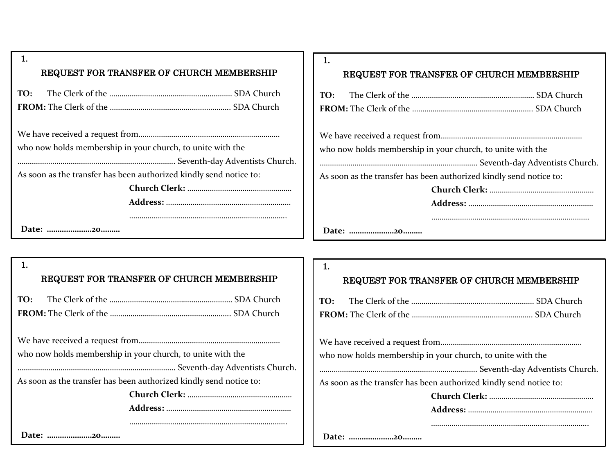| <b>REQUEST FOR TRANSFER OF CHURCH MEMBERSHIP</b>                   |  |  |
|--------------------------------------------------------------------|--|--|
|                                                                    |  |  |
|                                                                    |  |  |
|                                                                    |  |  |
|                                                                    |  |  |
| who now holds membership in your church, to unite with the         |  |  |
|                                                                    |  |  |
| As soon as the transfer has been authorized kindly send notice to: |  |  |
|                                                                    |  |  |
|                                                                    |  |  |
|                                                                    |  |  |

### REQUEST FOR TRANSFER OF CHURCH MEMBERSHIP

| who now holds membership in your church, to unite with the |  |
|------------------------------------------------------------|--|

………………………………………………………………….. Seventh-day Adventists Church.

As soon as the transfer has been authorized kindly send notice to:

# 1.

#### REQUEST FOR TRANSFER OF CHURCH MEMBERSHIP

We have received a request from…………………………………………………………… who now holds membership in your church, to unite with the

………………………………………………………………….. Seventh-day Adventists Church.

As soon as the transfer has been authorized kindly send notice to:

**Church Clerk:** …………………………………………… **Address:** …………………………………………………….

…………………………………………………………………..

**Date: …………………20………**

**Date: …………………20………**

## REQUEST FOR TRANSFER OF CHURCH MEMBERSHIP

We have received a request from……………………………………………………………

who now holds membership in your church, to unite with the

………………………………………………………………….. Seventh-day Adventists Church.

As soon as the transfer has been authorized kindly send notice to:

…………………………………………………………………..

**Date: …………………20………**

1.

1.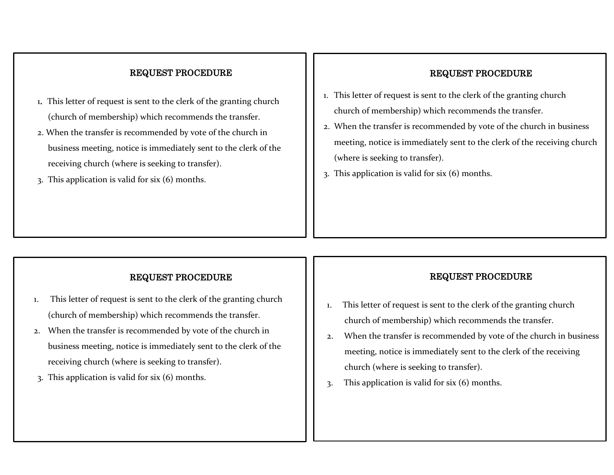# REQUEST PROCEDURE

- 1. This letter of request is sent to the clerk of the granting church (church of membership) which recommends the transfer.
- 2. When the transfer is recommended by vote of the church in business meeting, notice is immediately sent to the clerk of the receiving church (where is seeking to transfer).
- 3. This application is valid for six (6) months.

## REQUEST PROCEDURE

- 1. This letter of request is sent to the clerk of the granting church church of membership) which recommends the transfer.
- 2. When the transfer is recommended by vote of the church in business meeting, notice is immediately sent to the clerk of the receiving church (where is seeking to transfer).
- 3. This application is valid for six (6) months.

## REQUEST PROCEDURE

- 1. This letter of request is sent to the clerk of the granting church (church of membership) which recommends the transfer.
- 2. When the transfer is recommended by vote of the church in business meeting, notice is immediately sent to the clerk of the receiving church (where is seeking to transfer).
- 3. This application is valid for six (6) months.

## REQUEST PROCEDURE

- 1. This letter of request is sent to the clerk of the granting church church of membership) which recommends the transfer.
- 2. When the transfer is recommended by vote of the church in business meeting, notice is immediately sent to the clerk of the receiving church (where is seeking to transfer).
- 3. This application is valid for six (6) months.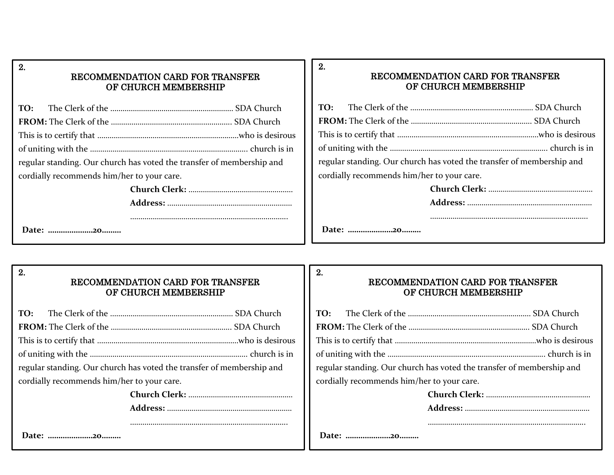### RECOMMENDATION CARD FOR TRANSFER OF CHURCH MEMBERSHIP

| regular standing. Our church has voted the transfer of membership and |  |  |
|-----------------------------------------------------------------------|--|--|
| cordially recommends him/her to your care.                            |  |  |
|                                                                       |  |  |
|                                                                       |  |  |
|                                                                       |  |  |

**Date: …………………20………**

### RECOMMENDATION CARD FOR TRANSFER OF CHURCH MEMBERSHIP

|                                            | regular standing. Our church has voted the transfer of membership and |
|--------------------------------------------|-----------------------------------------------------------------------|
| cordially recommends him/her to your care. |                                                                       |
|                                            |                                                                       |
|                                            |                                                                       |
|                                            |                                                                       |
|                                            |                                                                       |

**Date: …………………20………**

2.

2.

2.

2.

## RECOMMENDATION CARD FOR TRANSFER OF CHURCH MEMBERSHIP

| regular standing. Our church has voted the transfer of membership and |  |  |
|-----------------------------------------------------------------------|--|--|
| cordially recommends him/her to your care.                            |  |  |
|                                                                       |  |  |
|                                                                       |  |  |
|                                                                       |  |  |

# RECOMMENDATION CARD FOR TRANSFER OF CHURCH MEMBERSHIP

| regular standing. Our church has voted the transfer of membership and |                                            |  |
|-----------------------------------------------------------------------|--------------------------------------------|--|
|                                                                       | cordially recommends him/her to your care. |  |
|                                                                       |                                            |  |

**Date: …………………20………**

|  | Date: 20 |
|--|----------|
|--|----------|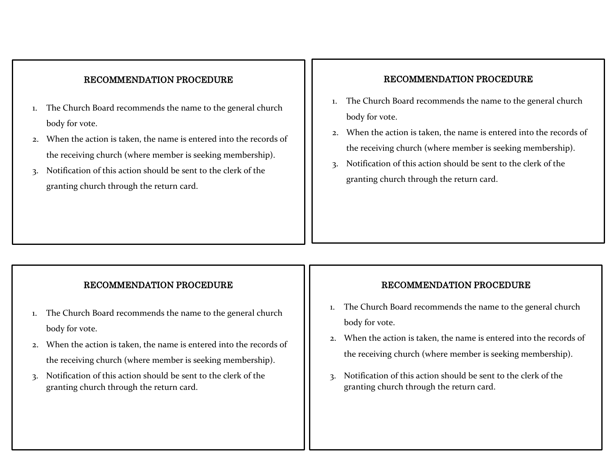### RECOMMENDATION PROCEDURE

- 1. The Church Board recommends the name to the general church body for vote.
- 2. When the action is taken, the name is entered into the records of the receiving church (where member is seeking membership).
- 3. Notification of this action should be sent to the clerk of the granting church through the return card.

## RECOMMENDATION PROCEDURE

- 1. The Church Board recommends the name to the general church body for vote.
- 2. When the action is taken, the name is entered into the records of the receiving church (where member is seeking membership).
- 3. Notification of this action should be sent to the clerk of the granting church through the return card.

### RECOMMENDATION PROCEDURE

- 1. The Church Board recommends the name to the general church body for vote.
- 2. When the action is taken, the name is entered into the records of the receiving church (where member is seeking membership).
- 3. Notification of this action should be sent to the clerk of the granting church through the return card.

#### RECOMMENDATION PROCEDURE

- 1. The Church Board recommends the name to the general church body for vote.
- 2. When the action is taken, the name is entered into the records of the receiving church (where member is seeking membership).
- 3. Notification of this action should be sent to the clerk of the granting church through the return card.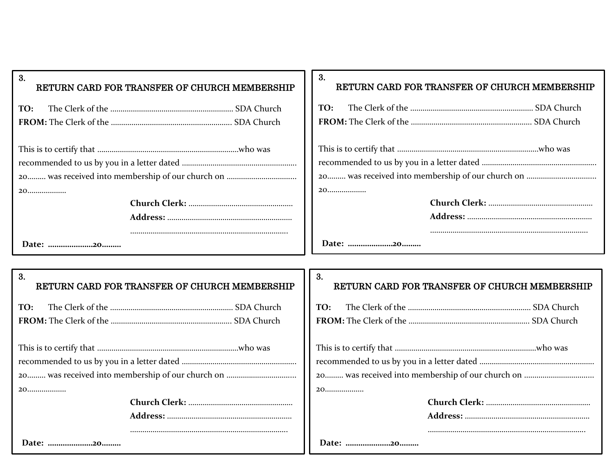| 3.<br>RETURN CARD FOR TRANSFER OF CHURCH MEMBERSHIP | 3.<br>RETURN CARD FOR TRANSFER OF CHURCH MEMBERSHIP |
|-----------------------------------------------------|-----------------------------------------------------|
| TO:                                                 | TO:                                                 |
|                                                     |                                                     |
|                                                     |                                                     |
|                                                     |                                                     |
|                                                     |                                                     |
|                                                     |                                                     |
| 20                                                  |                                                     |
|                                                     |                                                     |
|                                                     |                                                     |
|                                                     |                                                     |
| Date: 20                                            | Date: 20                                            |
|                                                     |                                                     |
| 3.<br>RETURN CARD FOR TRANSFER OF CHURCH MEMBERSHIP | 3.<br>RETURN CARD FOR TRANSFER OF CHURCH MEMBERSHIP |
| TO:                                                 | TO:                                                 |
|                                                     |                                                     |
|                                                     |                                                     |
|                                                     |                                                     |
|                                                     |                                                     |
|                                                     |                                                     |
| 20                                                  | 20                                                  |
|                                                     |                                                     |
|                                                     |                                                     |
|                                                     |                                                     |
| Date: 20                                            | Date: 20                                            |